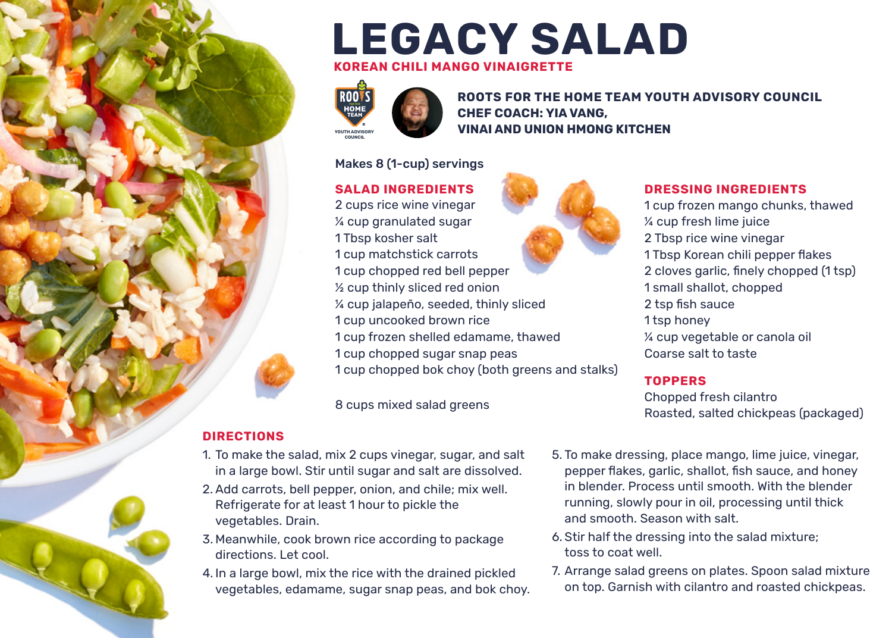## **LEGACY SALAD KOREAN CHILI MANGO VINAIGRETTE**



**ROOTS FOR THE HOME TEAM YOUTH ADVISORY COUNCIL CHEF COACH: YIA VANG, VINAI AND UNION HMONG KITCHEN**

#### Makes 8 (1-cup) servings

**SALAD INGREDIENTS**

2 cups rice wine vinegar ¼ cup granulated sugar 1 Tbsp kosher salt 1 cup matchstick carrots 1 cup chopped red bell pepper ½ cup thinly sliced red onion ¼ cup jalapeño, seeded, thinly sliced 1 cup uncooked brown rice 1 cup frozen shelled edamame, thawed 1 cup chopped sugar snap peas 1 cup chopped bok choy (both greens and stalks)

8 cups mixed salad greens



#### **DRESSING INGREDIENTS**

1 cup frozen mango chunks, thawed ¼ cup fresh lime juice 2 Tbsp rice wine vinegar 1 Tbsp Korean chili pepper flakes 2 cloves garlic, finely chopped (1 tsp) 1 small shallot, chopped 2 tsp fish sauce 1 tsp honey ¼ cup vegetable or canola oil Coarse salt to taste

#### **TOPPERS**

Chopped fresh cilantro Roasted, salted chickpeas (packaged)

#### **DIRECTIONS**

- 1. To make the salad, mix 2 cups vinegar, sugar, and salt in a large bowl. Stir until sugar and salt are dissolved.
- 2. Add carrots, bell pepper, onion, and chile; mix well. Refrigerate for at least 1 hour to pickle the vegetables. Drain.
- 3. Meanwhile, cook brown rice according to package directions. Let cool.
- 4. In a large bowl, mix the rice with the drained pickled vegetables, edamame, sugar snap peas, and bok choy.
- 5. To make dressing, place mango, lime juice, vinegar, pepper flakes, garlic, shallot, fish sauce, and honey in blender. Process until smooth. With the blender running, slowly pour in oil, processing until thick and smooth. Season with salt.
- 6. Stir half the dressing into the salad mixture; toss to coat well.
- 7. Arrange salad greens on plates. Spoon salad mixture on top. Garnish with cilantro and roasted chickpeas.